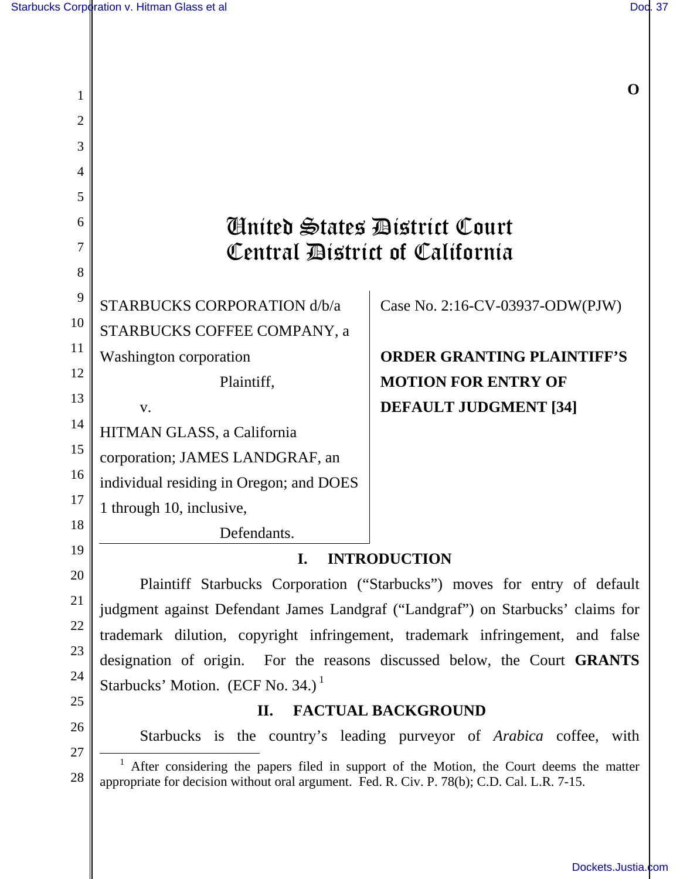| 1              |                                                                                                                                                                                                     | 0                                 |
|----------------|-----------------------------------------------------------------------------------------------------------------------------------------------------------------------------------------------------|-----------------------------------|
| $\overline{2}$ |                                                                                                                                                                                                     |                                   |
| 3              |                                                                                                                                                                                                     |                                   |
| 4              |                                                                                                                                                                                                     |                                   |
| 5              |                                                                                                                                                                                                     |                                   |
| 6              | Anited States District Court                                                                                                                                                                        |                                   |
| 7              | Central District of California                                                                                                                                                                      |                                   |
| 8              |                                                                                                                                                                                                     |                                   |
| 9              | STARBUCKS CORPORATION d/b/a                                                                                                                                                                         | Case No. 2:16-CV-03937-ODW(PJW)   |
| 10             | STARBUCKS COFFEE COMPANY, a                                                                                                                                                                         |                                   |
| 11<br>12       | <b>Washington corporation</b>                                                                                                                                                                       | <b>ORDER GRANTING PLAINTIFF'S</b> |
|                | Plaintiff,                                                                                                                                                                                          | <b>MOTION FOR ENTRY OF</b>        |
| 13<br>14       | V.                                                                                                                                                                                                  | <b>DEFAULT JUDGMENT [34]</b>      |
| 15             | HITMAN GLASS, a California                                                                                                                                                                          |                                   |
| 16             | corporation; JAMES LANDGRAF, an                                                                                                                                                                     |                                   |
| 17             | individual residing in Oregon; and DOES                                                                                                                                                             |                                   |
| 18             | 1 through 10, inclusive,                                                                                                                                                                            |                                   |
| 19             | Defendants.                                                                                                                                                                                         |                                   |
| 20             | <b>INTRODUCTION</b><br>I.                                                                                                                                                                           |                                   |
| 21             | Plaintiff Starbucks Corporation ("Starbucks") moves for entry of default                                                                                                                            |                                   |
| 22             | judgment against Defendant James Landgraf ("Landgraf") on Starbucks' claims for                                                                                                                     |                                   |
| 23             | trademark dilution, copyright infringement, trademark infringement, and false                                                                                                                       |                                   |
| 24             | designation of origin. For the reasons discussed below, the Court GRANTS                                                                                                                            |                                   |
| 25             | Starbucks' Motion. (ECF No. 34.) <sup>1</sup>                                                                                                                                                       |                                   |
| 26             | II.<br><b>FACTUAL BACKGROUND</b>                                                                                                                                                                    |                                   |
| 27             | Starbucks is the country's leading purveyor of <i>Arabica</i> coffee, with                                                                                                                          |                                   |
| 28             | <sup>1</sup> After considering the papers filed in support of the Motion, the Court deems the matter<br>appropriate for decision without oral argument. Fed. R. Civ. P. 78(b); C.D. Cal. L.R. 7-15. |                                   |
|                |                                                                                                                                                                                                     |                                   |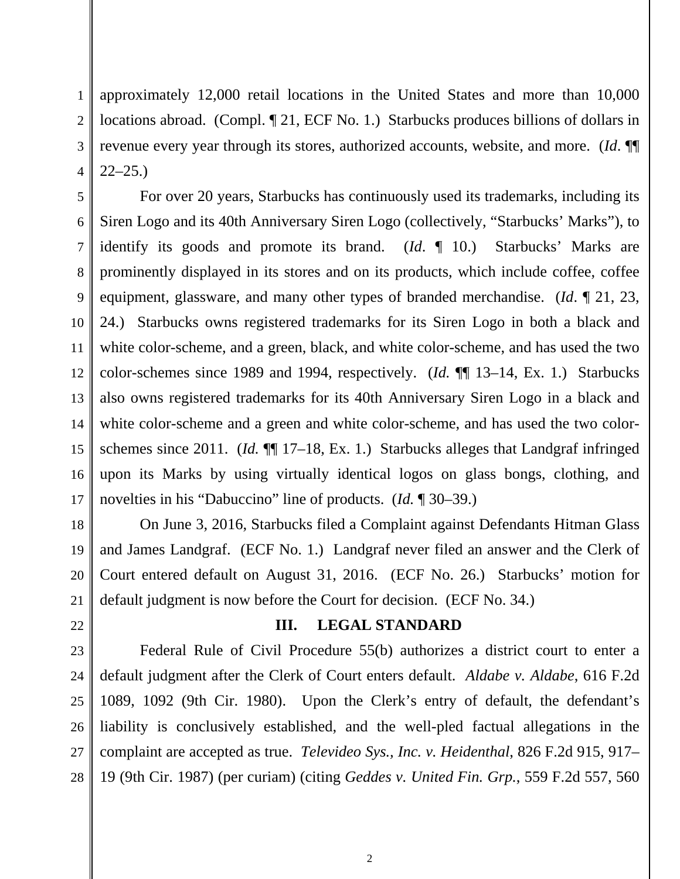1 2 3 4 approximately 12,000 retail locations in the United States and more than 10,000 locations abroad. (Compl. ¶ 21, ECF No. 1.) Starbucks produces billions of dollars in revenue every year through its stores, authorized accounts, website, and more. (*Id*. ¶¶  $22 - 25.$ 

5 6 7 8 9 10 11 12 For over 20 years, Starbucks has continuously used its trademarks, including its Siren Logo and its 40th Anniversary Siren Logo (collectively, "Starbucks' Marks"), to identify its goods and promote its brand. (*Id*. ¶ 10.) Starbucks' Marks are prominently displayed in its stores and on its products, which include coffee, coffee equipment, glassware, and many other types of branded merchandise. (*Id*. ¶ 21, 23, 24.) Starbucks owns registered trademarks for its Siren Logo in both a black and white color-scheme, and a green, black, and white color-scheme, and has used the two color-schemes since 1989 and 1994, respectively. (*Id.* ¶¶ 13–14, Ex. 1.) Starbucks also owns registered trademarks for its 40th Anniversary Siren Logo in a black and white color-scheme and a green and white color-scheme, and has used the two colorschemes since 2011. (*Id.* ¶¶ 17–18, Ex. 1.) Starbucks alleges that Landgraf infringed upon its Marks by using virtually identical logos on glass bongs, clothing, and novelties in his "Dabuccino" line of products. (*Id.* ¶ 30–39.)

On June 3, 2016, Starbucks filed a Complaint against Defendants Hitman Glass and James Landgraf. (ECF No. 1.) Landgraf never filed an answer and the Clerk of Court entered default on August 31, 2016. (ECF No. 26.) Starbucks' motion for default judgment is now before the Court for decision. (ECF No. 34.)

#### **III. LEGAL STANDARD**

28 Federal Rule of Civil Procedure 55(b) authorizes a district court to enter a default judgment after the Clerk of Court enters default. *Aldabe v. Aldabe*, 616 F.2d 1089, 1092 (9th Cir. 1980). Upon the Clerk's entry of default, the defendant's liability is conclusively established, and the well-pled factual allegations in the complaint are accepted as true. *Televideo Sys., Inc. v. Heidenthal*, 826 F.2d 915, 917– 19 (9th Cir. 1987) (per curiam) (citing *Geddes v. United Fin. Grp.*, 559 F.2d 557, 560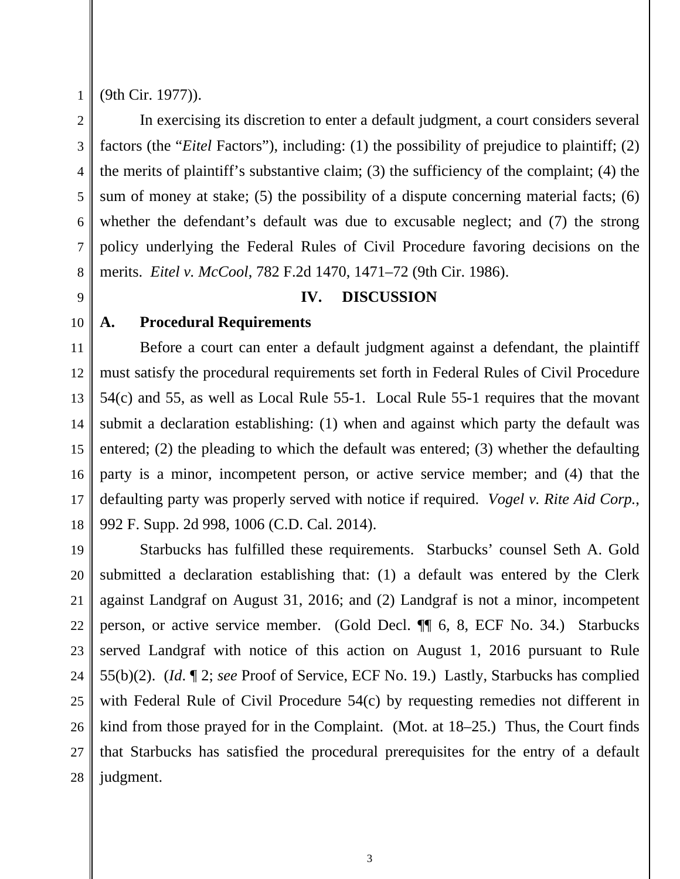1

(9th Cir. 1977)).

2 3 4 5 6 7 8 In exercising its discretion to enter a default judgment, a court considers several factors (the "*Eitel* Factors"), including: (1) the possibility of prejudice to plaintiff; (2) the merits of plaintiff's substantive claim; (3) the sufficiency of the complaint; (4) the sum of money at stake; (5) the possibility of a dispute concerning material facts; (6) whether the defendant's default was due to excusable neglect; and (7) the strong policy underlying the Federal Rules of Civil Procedure favoring decisions on the merits. *Eitel v. McCool*, 782 F.2d 1470, 1471–72 (9th Cir. 1986).

# 9

#### **IV. DISCUSSION**

## 10

### **A. Procedural Requirements**

11 12 13 14 15 16 17 18 Before a court can enter a default judgment against a defendant, the plaintiff must satisfy the procedural requirements set forth in Federal Rules of Civil Procedure 54(c) and 55, as well as Local Rule 55-1. Local Rule 55-1 requires that the movant submit a declaration establishing: (1) when and against which party the default was entered; (2) the pleading to which the default was entered; (3) whether the defaulting party is a minor, incompetent person, or active service member; and (4) that the defaulting party was properly served with notice if required. *Vogel v. Rite Aid Corp.*, 992 F. Supp. 2d 998, 1006 (C.D. Cal. 2014).

19 20 21 22 23 24 25 26 27 28 Starbucks has fulfilled these requirements. Starbucks' counsel Seth A. Gold submitted a declaration establishing that: (1) a default was entered by the Clerk against Landgraf on August 31, 2016; and (2) Landgraf is not a minor, incompetent person, or active service member. (Gold Decl. ¶¶ 6, 8, ECF No. 34.) Starbucks served Landgraf with notice of this action on August 1, 2016 pursuant to Rule 55(b)(2). (*Id*. ¶ 2; *see* Proof of Service, ECF No. 19.) Lastly, Starbucks has complied with Federal Rule of Civil Procedure 54(c) by requesting remedies not different in kind from those prayed for in the Complaint. (Mot. at 18–25.) Thus, the Court finds that Starbucks has satisfied the procedural prerequisites for the entry of a default judgment.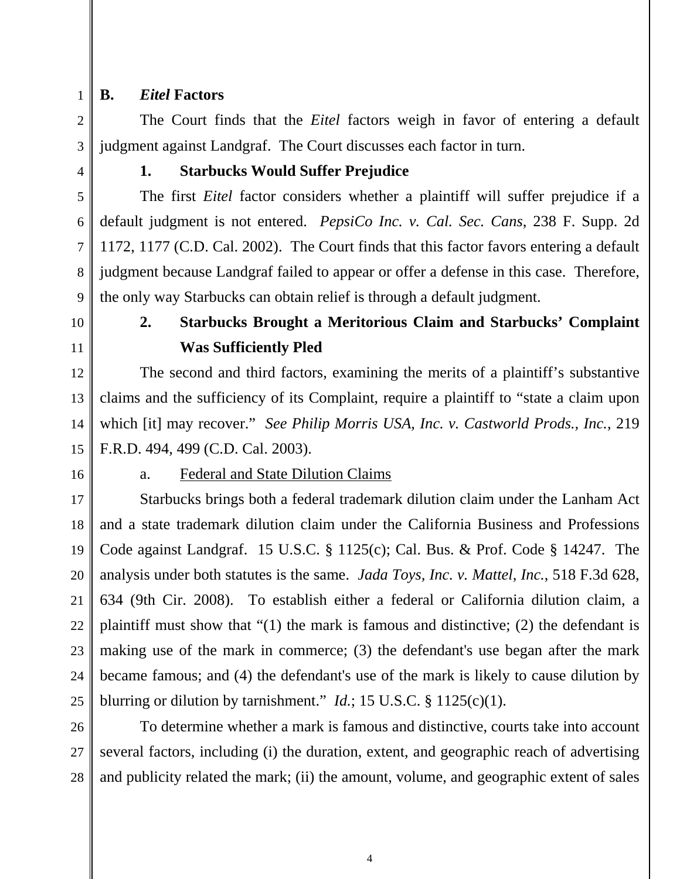1 2

3

4

5

6

7

8

9

## **B.** *Eitel* **Factors**

 The Court finds that the *Eitel* factors weigh in favor of entering a default judgment against Landgraf. The Court discusses each factor in turn.

**1. Starbucks Would Suffer Prejudice**

 The first *Eitel* factor considers whether a plaintiff will suffer prejudice if a default judgment is not entered. *PepsiCo Inc. v. Cal. Sec. Cans*, 238 F. Supp. 2d 1172, 1177 (C.D. Cal. 2002). The Court finds that this factor favors entering a default judgment because Landgraf failed to appear or offer a defense in this case. Therefore, the only way Starbucks can obtain relief is through a default judgment.

10 11

# **2. Starbucks Brought a Meritorious Claim and Starbucks' Complaint Was Sufficiently Pled**

12 13 14 15 The second and third factors, examining the merits of a plaintiff's substantive claims and the sufficiency of its Complaint, require a plaintiff to "state a claim upon which [it] may recover." *See Philip Morris USA, Inc. v. Castworld Prods., Inc.*, 219 F.R.D. 494, 499 (C.D. Cal. 2003).

16

#### a. Federal and State Dilution Claims

17 18 19 20 21 22 23 24 25 Starbucks brings both a federal trademark dilution claim under the Lanham Act and a state trademark dilution claim under the California Business and Professions Code against Landgraf. 15 U.S.C. § 1125(c); Cal. Bus. & Prof. Code § 14247. The analysis under both statutes is the same. *Jada Toys, Inc. v. Mattel, Inc.*, 518 F.3d 628, 634 (9th Cir. 2008). To establish either a federal or California dilution claim, a plaintiff must show that "(1) the mark is famous and distinctive; (2) the defendant is making use of the mark in commerce; (3) the defendant's use began after the mark became famous; and (4) the defendant's use of the mark is likely to cause dilution by blurring or dilution by tarnishment." *Id.*; 15 U.S.C. § 1125(c)(1).

26 27 28 To determine whether a mark is famous and distinctive, courts take into account several factors, including (i) the duration, extent, and geographic reach of advertising and publicity related the mark; (ii) the amount, volume, and geographic extent of sales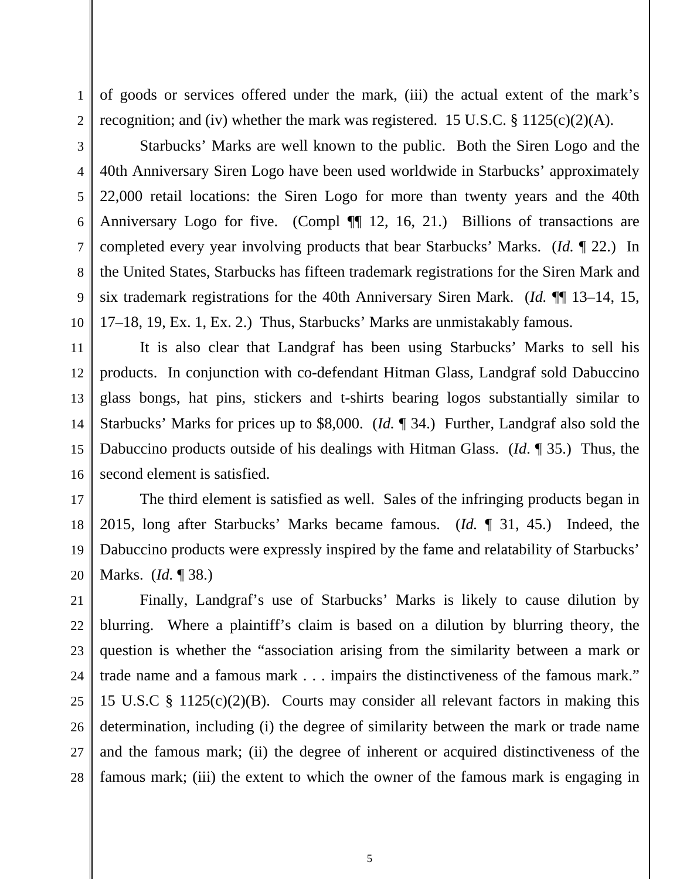of goods or services offered under the mark, (iii) the actual extent of the mark's recognition; and (iv) whether the mark was registered. 15 U.S.C.  $\S 1125(c)(2)(A)$ .

2 3

4

5

6

7

8

9

10

1

Starbucks' Marks are well known to the public. Both the Siren Logo and the 40th Anniversary Siren Logo have been used worldwide in Starbucks' approximately 22,000 retail locations: the Siren Logo for more than twenty years and the 40th Anniversary Logo for five. (Compl ¶ 12, 16, 21.) Billions of transactions are completed every year involving products that bear Starbucks' Marks. (*Id.* ¶ 22.) In the United States, Starbucks has fifteen trademark registrations for the Siren Mark and six trademark registrations for the 40th Anniversary Siren Mark. (*Id.* ¶¶ 13–14, 15, 17–18, 19, Ex. 1, Ex. 2.) Thus, Starbucks' Marks are unmistakably famous.

11 12 13 14 15 16 It is also clear that Landgraf has been using Starbucks' Marks to sell his products. In conjunction with co-defendant Hitman Glass, Landgraf sold Dabuccino glass bongs, hat pins, stickers and t-shirts bearing logos substantially similar to Starbucks' Marks for prices up to \$8,000. (*Id.* ¶ 34.) Further, Landgraf also sold the Dabuccino products outside of his dealings with Hitman Glass. (*Id*. ¶ 35.) Thus, the second element is satisfied.

17 18 19 20 The third element is satisfied as well. Sales of the infringing products began in 2015, long after Starbucks' Marks became famous. (*Id.* ¶ 31, 45.) Indeed, the Dabuccino products were expressly inspired by the fame and relatability of Starbucks' Marks. (*Id.* ¶ 38.)

21 22 23 24 25 26 27 28 Finally, Landgraf's use of Starbucks' Marks is likely to cause dilution by blurring. Where a plaintiff's claim is based on a dilution by blurring theory, the question is whether the "association arising from the similarity between a mark or trade name and a famous mark . . . impairs the distinctiveness of the famous mark." 15 U.S.C § 1125(c)(2)(B). Courts may consider all relevant factors in making this determination, including (i) the degree of similarity between the mark or trade name and the famous mark; (ii) the degree of inherent or acquired distinctiveness of the famous mark; (iii) the extent to which the owner of the famous mark is engaging in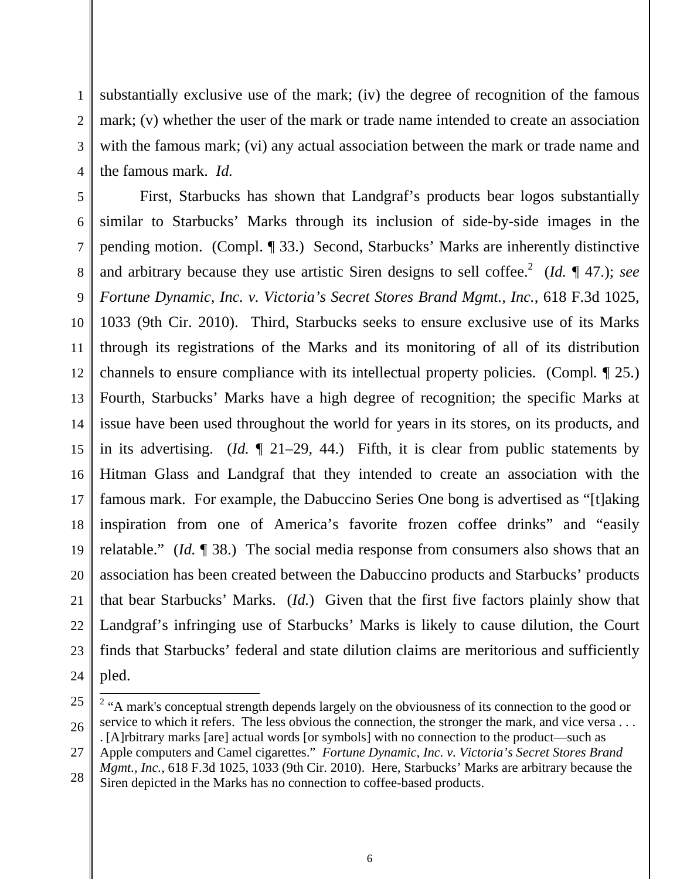1 2 3 4 substantially exclusive use of the mark; (iv) the degree of recognition of the famous mark; (v) whether the user of the mark or trade name intended to create an association with the famous mark; (vi) any actual association between the mark or trade name and the famous mark. *Id.*

5 6 7 8 9 10 11 12 13 14 15 16 17 18 19 20 21 22 23 24 First, Starbucks has shown that Landgraf's products bear logos substantially similar to Starbucks' Marks through its inclusion of side-by-side images in the pending motion. (Compl. ¶ 33.) Second, Starbucks' Marks are inherently distinctive and arbitrary because they use artistic Siren designs to sell coffee.<sup>2</sup> (*Id.*  $\P$  47.); *see Fortune Dynamic, Inc. v. Victoria's Secret Stores Brand Mgmt., Inc.*, 618 F.3d 1025, 1033 (9th Cir. 2010). Third, Starbucks seeks to ensure exclusive use of its Marks through its registrations of the Marks and its monitoring of all of its distribution channels to ensure compliance with its intellectual property policies. (Compl*.* ¶ 25.) Fourth, Starbucks' Marks have a high degree of recognition; the specific Marks at issue have been used throughout the world for years in its stores, on its products, and in its advertising. (*Id.* ¶ 21–29, 44.) Fifth, it is clear from public statements by Hitman Glass and Landgraf that they intended to create an association with the famous mark. For example, the Dabuccino Series One bong is advertised as "[t]aking inspiration from one of America's favorite frozen coffee drinks" and "easily relatable." (*Id.* ¶ 38.) The social media response from consumers also shows that an association has been created between the Dabuccino products and Starbucks' products that bear Starbucks' Marks. (*Id.*) Given that the first five factors plainly show that Landgraf's infringing use of Starbucks' Marks is likely to cause dilution, the Court finds that Starbucks' federal and state dilution claims are meritorious and sufficiently pled.

<sup>25</sup> 26 27 28 <sup>2</sup> "A mark's conceptual strength depends largely on the obviousness of its connection to the good or service to which it refers. The less obvious the connection, the stronger the mark, and vice versa ... . [A]rbitrary marks [are] actual words [or symbols] with no connection to the product—such as Apple computers and Camel cigarettes." *Fortune Dynamic, Inc. v. Victoria's Secret Stores Brand Mgmt., Inc.*, 618 F.3d 1025, 1033 (9th Cir. 2010). Here, Starbucks' Marks are arbitrary because the

Siren depicted in the Marks has no connection to coffee-based products.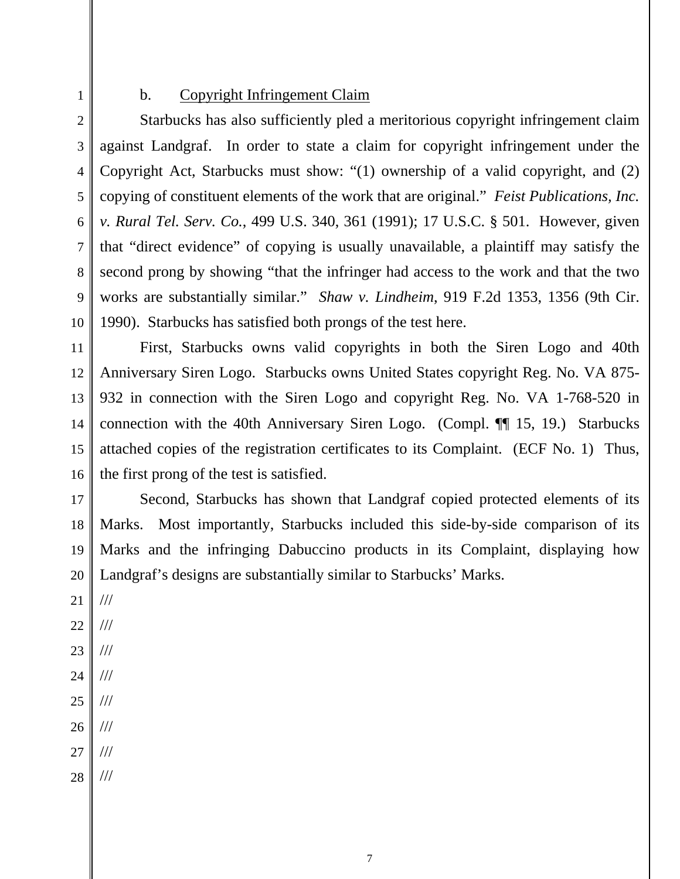1

#### b. Copyright Infringement Claim

2 3 4 5 6 7 8 9 10 Starbucks has also sufficiently pled a meritorious copyright infringement claim against Landgraf. In order to state a claim for copyright infringement under the Copyright Act, Starbucks must show: "(1) ownership of a valid copyright, and (2) copying of constituent elements of the work that are original." *Feist Publications, Inc. v. Rural Tel. Serv. Co.*, 499 U.S. 340, 361 (1991); 17 U.S.C. § 501. However, given that "direct evidence" of copying is usually unavailable, a plaintiff may satisfy the second prong by showing "that the infringer had access to the work and that the two works are substantially similar." *Shaw v. Lindheim*, 919 F.2d 1353, 1356 (9th Cir. 1990). Starbucks has satisfied both prongs of the test here.

11 12 13 14 15 16 First, Starbucks owns valid copyrights in both the Siren Logo and 40th Anniversary Siren Logo. Starbucks owns United States copyright Reg. No. VA 875- 932 in connection with the Siren Logo and copyright Reg. No. VA 1-768-520 in connection with the 40th Anniversary Siren Logo. (Compl. ¶¶ 15, 19.) Starbucks attached copies of the registration certificates to its Complaint. (ECF No. 1) Thus, the first prong of the test is satisfied.

17 18 19 20 Second, Starbucks has shown that Landgraf copied protected elements of its Marks. Most importantly, Starbucks included this side-by-side comparison of its Marks and the infringing Dabuccino products in its Complaint, displaying how Landgraf's designs are substantially similar to Starbucks' Marks.

- 21 22 23 24 25 26 27 /// /// /// /// /// /// ///
- 28 ///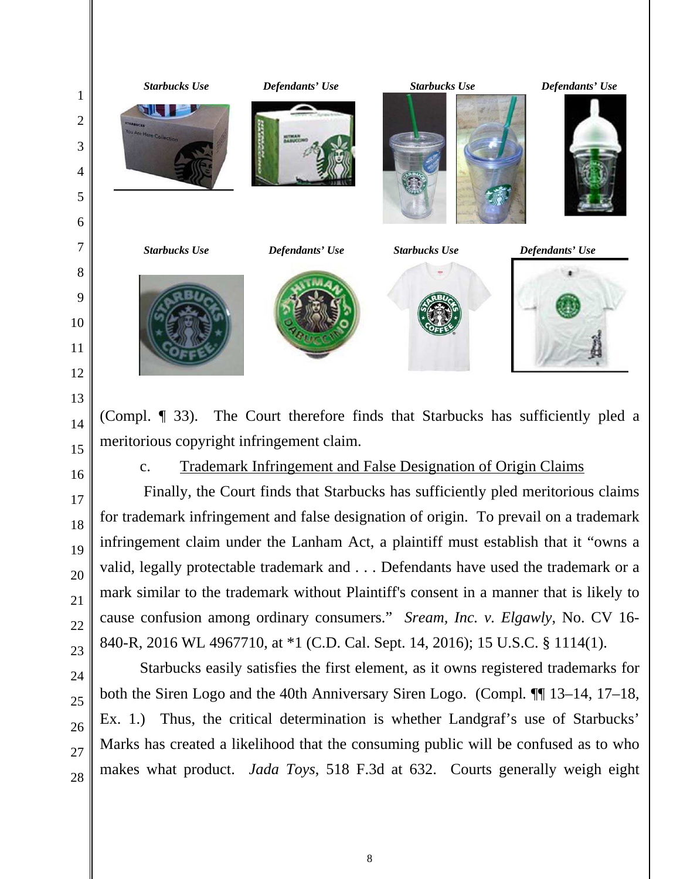

- meritorious copyright infringement claim.
	- c. Trademark Infringement and False Designation of Origin Claims

 Finally, the Court finds that Starbucks has sufficiently pled meritorious claims for trademark infringement and false designation of origin. To prevail on a trademark infringement claim under the Lanham Act, a plaintiff must establish that it "owns a valid, legally protectable trademark and . . . Defendants have used the trademark or a mark similar to the trademark without Plaintiff's consent in a manner that is likely to cause confusion among ordinary consumers." *Sream, Inc. v. Elgawly*, No. CV 16- 840-R, 2016 WL 4967710, at \*1 (C.D. Cal. Sept. 14, 2016); 15 U.S.C. § 1114(1).

Starbucks easily satisfies the first element, as it owns registered trademarks for both the Siren Logo and the 40th Anniversary Siren Logo. (Compl*.* ¶¶ 13–14, 17–18, Ex. 1.) Thus, the critical determination is whether Landgraf's use of Starbucks' Marks has created a likelihood that the consuming public will be confused as to who makes what product. *Jada Toys*, 518 F.3d at 632. Courts generally weigh eight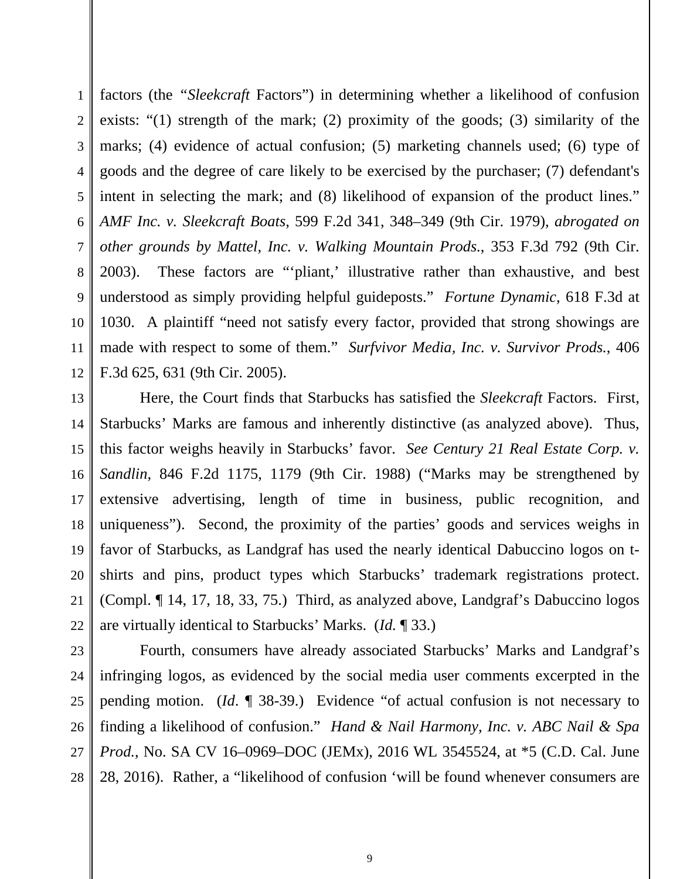1 2 3 4 5 6 7 8 9 10 11 12 factors (the *"Sleekcraft* Factors") in determining whether a likelihood of confusion exists: "(1) strength of the mark; (2) proximity of the goods; (3) similarity of the marks; (4) evidence of actual confusion; (5) marketing channels used; (6) type of goods and the degree of care likely to be exercised by the purchaser; (7) defendant's intent in selecting the mark; and (8) likelihood of expansion of the product lines." *AMF Inc. v. Sleekcraft Boats*, 599 F.2d 341, 348–349 (9th Cir. 1979), *abrogated on other grounds by Mattel, Inc. v. Walking Mountain Prods.*, 353 F.3d 792 (9th Cir. 2003). These factors are "'pliant,' illustrative rather than exhaustive, and best understood as simply providing helpful guideposts." *Fortune Dynamic*, 618 F.3d at 1030. A plaintiff "need not satisfy every factor, provided that strong showings are made with respect to some of them." *Surfvivor Media, Inc. v. Survivor Prods.*, 406 F.3d 625, 631 (9th Cir. 2005).

13 14 15 16 17 18 19 20 21 22 Here, the Court finds that Starbucks has satisfied the *Sleekcraft* Factors. First, Starbucks' Marks are famous and inherently distinctive (as analyzed above). Thus, this factor weighs heavily in Starbucks' favor. *See Century 21 Real Estate Corp. v. Sandlin*, 846 F.2d 1175, 1179 (9th Cir. 1988) ("Marks may be strengthened by extensive advertising, length of time in business, public recognition, and uniqueness"). Second, the proximity of the parties' goods and services weighs in favor of Starbucks, as Landgraf has used the nearly identical Dabuccino logos on tshirts and pins, product types which Starbucks' trademark registrations protect. (Compl. ¶ 14, 17, 18, 33, 75.) Third, as analyzed above, Landgraf's Dabuccino logos are virtually identical to Starbucks' Marks. (*Id.* ¶ 33.)

23 24 25 26 27 28 Fourth, consumers have already associated Starbucks' Marks and Landgraf's infringing logos, as evidenced by the social media user comments excerpted in the pending motion. (*Id*. ¶ 38-39.) Evidence "of actual confusion is not necessary to finding a likelihood of confusion." *Hand & Nail Harmony, Inc. v. ABC Nail & Spa Prod.*, No. SA CV 16–0969–DOC (JEMx), 2016 WL 3545524, at \*5 (C.D. Cal. June 28, 2016). Rather, a "likelihood of confusion 'will be found whenever consumers are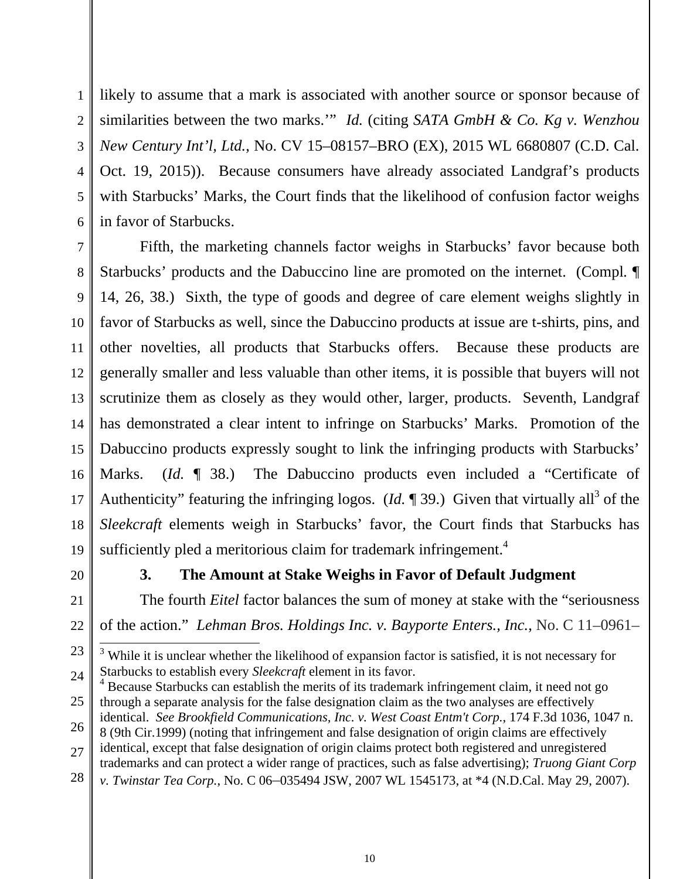1 2 3 4 5 6 likely to assume that a mark is associated with another source or sponsor because of similarities between the two marks.'" *Id.* (citing *SATA GmbH & Co. Kg v. Wenzhou New Century Int'l, Ltd.*, No. CV 15–08157–BRO (EX), 2015 WL 6680807 (C.D. Cal. Oct. 19, 2015)). Because consumers have already associated Landgraf's products with Starbucks' Marks, the Court finds that the likelihood of confusion factor weighs in favor of Starbucks.

7 8 9 10 11 12 13 14 15 16 17 18 19 Fifth, the marketing channels factor weighs in Starbucks' favor because both Starbucks' products and the Dabuccino line are promoted on the internet. (Compl*.* ¶ 14, 26, 38.) Sixth, the type of goods and degree of care element weighs slightly in favor of Starbucks as well, since the Dabuccino products at issue are t-shirts, pins, and other novelties, all products that Starbucks offers. Because these products are generally smaller and less valuable than other items, it is possible that buyers will not scrutinize them as closely as they would other, larger, products. Seventh, Landgraf has demonstrated a clear intent to infringe on Starbucks' Marks. Promotion of the Dabuccino products expressly sought to link the infringing products with Starbucks' Marks. (*Id.* 138.) The Dabuccino products even included a "Certificate of Authenticity" featuring the infringing logos. (*Id.*  $\P$  39.) Given that virtually all<sup>3</sup> of the *Sleekcraft* elements weigh in Starbucks' favor, the Court finds that Starbucks has sufficiently pled a meritorious claim for trademark infringement.<sup>4</sup>

20

21

22

 $\overline{a}$ 

## **3. The Amount at Stake Weighs in Favor of Default Judgment**

 The fourth *Eitel* factor balances the sum of money at stake with the "seriousness of the action." *Lehman Bros. Holdings Inc. v. Bayporte Enters., Inc.*, No. C 11–0961–

- 25 <sup>4</sup> Because Starbucks can establish the merits of its trademark infringement claim, it need not go through a separate analysis for the false designation claim as the two analyses are effectively
- 26 identical. *See Brookfield Communications, Inc. v. West Coast Entm't Corp.*, 174 F.3d 1036, 1047 n.
- 27 8 (9th Cir.1999) (noting that infringement and false designation of origin claims are effectively identical, except that false designation of origin claims protect both registered and unregistered trademarks and can protect a wider range of practices, such as false advertising); *Truong Giant Corp*
- 28 *v. Twinstar Tea Corp.*, No. C 06–035494 JSW, 2007 WL 1545173, at \*4 (N.D.Cal. May 29, 2007).

<sup>23</sup> 24 <sup>3</sup> While it is unclear whether the likelihood of expansion factor is satisfied, it is not necessary for Starbucks to establish every *Sleekcraft* element in its favor.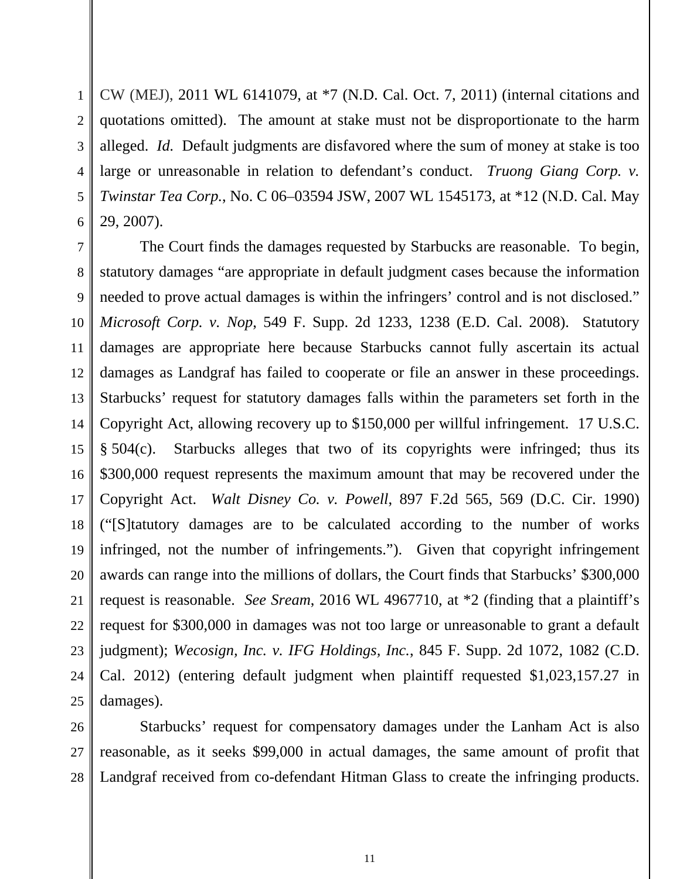1 2 3 4 5 6 CW (MEJ), 2011 WL 6141079, at \*7 (N.D. Cal. Oct. 7, 2011) (internal citations and quotations omitted). The amount at stake must not be disproportionate to the harm alleged. *Id.* Default judgments are disfavored where the sum of money at stake is too large or unreasonable in relation to defendant's conduct. *Truong Giang Corp. v. Twinstar Tea Corp.*, No. C 06–03594 JSW, 2007 WL 1545173, at \*12 (N.D. Cal. May 29, 2007).

7 8 9 10 11 12 13 14 15 16 17 18 19 20 21 22 23 24 25 The Court finds the damages requested by Starbucks are reasonable. To begin, statutory damages "are appropriate in default judgment cases because the information needed to prove actual damages is within the infringers' control and is not disclosed." *Microsoft Corp. v. Nop*, 549 F. Supp. 2d 1233, 1238 (E.D. Cal. 2008). Statutory damages are appropriate here because Starbucks cannot fully ascertain its actual damages as Landgraf has failed to cooperate or file an answer in these proceedings. Starbucks' request for statutory damages falls within the parameters set forth in the Copyright Act, allowing recovery up to \$150,000 per willful infringement. 17 U.S.C. § 504(c). Starbucks alleges that two of its copyrights were infringed; thus its \$300,000 request represents the maximum amount that may be recovered under the Copyright Act. *Walt Disney Co. v. Powell*, 897 F.2d 565, 569 (D.C. Cir. 1990) ("[S]tatutory damages are to be calculated according to the number of works infringed, not the number of infringements."). Given that copyright infringement awards can range into the millions of dollars, the Court finds that Starbucks' \$300,000 request is reasonable. *See Sream*, 2016 WL 4967710, at \*2 (finding that a plaintiff's request for \$300,000 in damages was not too large or unreasonable to grant a default judgment); *Wecosign, Inc. v. IFG Holdings, Inc.*, 845 F. Supp. 2d 1072, 1082 (C.D. Cal. 2012) (entering default judgment when plaintiff requested \$1,023,157.27 in damages).

26 27 28 Starbucks' request for compensatory damages under the Lanham Act is also reasonable, as it seeks \$99,000 in actual damages, the same amount of profit that Landgraf received from co-defendant Hitman Glass to create the infringing products.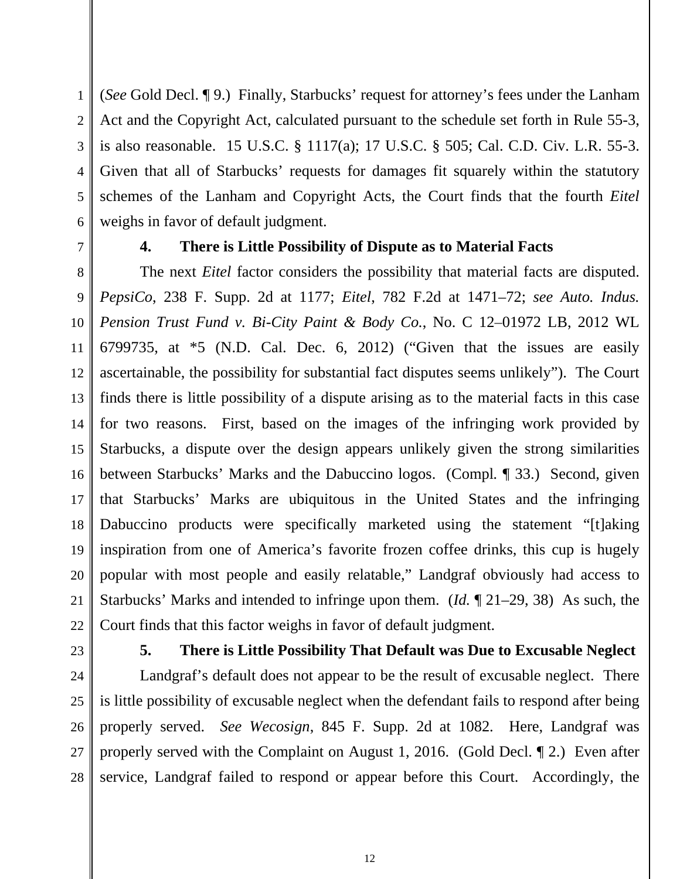1 2 3 4 5 6 (*See* Gold Decl. ¶ 9.) Finally, Starbucks' request for attorney's fees under the Lanham Act and the Copyright Act, calculated pursuant to the schedule set forth in Rule 55-3, is also reasonable. 15 U.S.C. § 1117(a); 17 U.S.C. § 505; Cal. C.D. Civ. L.R. 55-3. Given that all of Starbucks' requests for damages fit squarely within the statutory schemes of the Lanham and Copyright Acts, the Court finds that the fourth *Eitel* weighs in favor of default judgment.

7

## **4. There is Little Possibility of Dispute as to Material Facts**

8 9 10 11 12 13 14 15 16 17 18 19 20 21 22 The next *Eitel* factor considers the possibility that material facts are disputed. *PepsiCo*, 238 F. Supp. 2d at 1177; *Eitel*, 782 F.2d at 1471–72; *see Auto. Indus. Pension Trust Fund v. Bi-City Paint & Body Co.*, No. C 12–01972 LB, 2012 WL 6799735, at \*5 (N.D. Cal. Dec. 6, 2012) ("Given that the issues are easily ascertainable, the possibility for substantial fact disputes seems unlikely"). The Court finds there is little possibility of a dispute arising as to the material facts in this case for two reasons. First, based on the images of the infringing work provided by Starbucks, a dispute over the design appears unlikely given the strong similarities between Starbucks' Marks and the Dabuccino logos. (Compl*.* ¶ 33.) Second, given that Starbucks' Marks are ubiquitous in the United States and the infringing Dabuccino products were specifically marketed using the statement "[t]aking inspiration from one of America's favorite frozen coffee drinks, this cup is hugely popular with most people and easily relatable," Landgraf obviously had access to Starbucks' Marks and intended to infringe upon them. (*Id.* ¶ 21–29, 38) As such, the Court finds that this factor weighs in favor of default judgment.

23

# **5. There is Little Possibility That Default was Due to Excusable Neglect**

24 25 26 27 28 Landgraf's default does not appear to be the result of excusable neglect. There is little possibility of excusable neglect when the defendant fails to respond after being properly served. *See Wecosign*, 845 F. Supp. 2d at 1082. Here, Landgraf was properly served with the Complaint on August 1, 2016. (Gold Decl. ¶ 2.) Even after service, Landgraf failed to respond or appear before this Court. Accordingly, the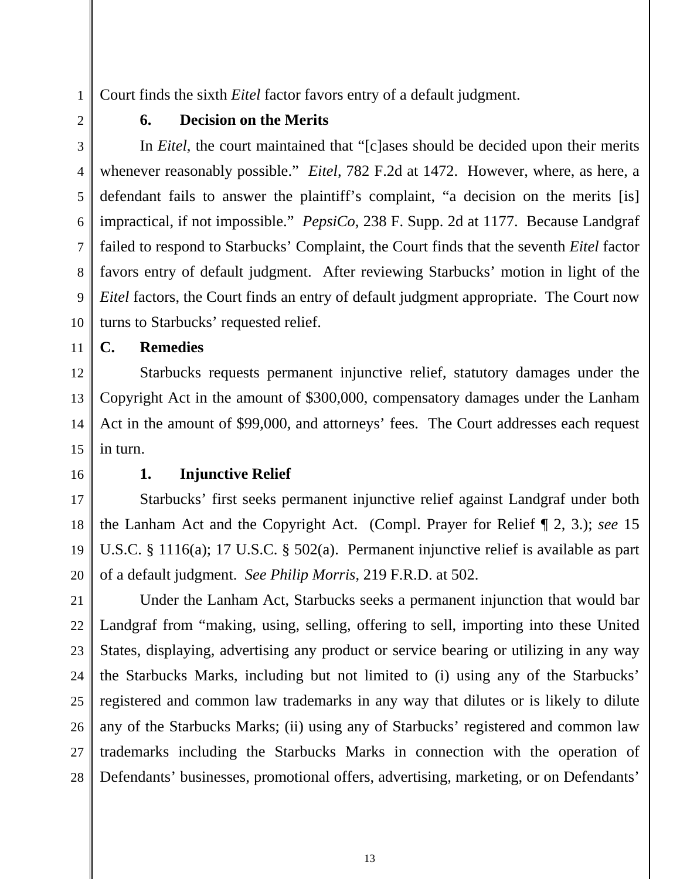Court finds the sixth *Eitel* factor favors entry of a default judgment.

2

1

4

### **6. Decision on the Merits**

3 5 6 7 8 9 10 In *Eitel*, the court maintained that "[c]ases should be decided upon their merits whenever reasonably possible." *Eitel*, 782 F.2d at 1472. However, where, as here, a defendant fails to answer the plaintiff's complaint, "a decision on the merits [is] impractical, if not impossible." *PepsiCo*, 238 F. Supp. 2d at 1177. Because Landgraf failed to respond to Starbucks' Complaint, the Court finds that the seventh *Eitel* factor favors entry of default judgment. After reviewing Starbucks' motion in light of the *Eitel* factors, the Court finds an entry of default judgment appropriate. The Court now turns to Starbucks' requested relief.

**C. Remedies** 

12 Starbucks requests permanent injunctive relief, statutory damages under the Copyright Act in the amount of \$300,000, compensatory damages under the Lanham Act in the amount of \$99,000, and attorneys' fees. The Court addresses each request in turn.

16

11

13

14

15

## **1. Injunctive Relief**

17 18 19 20 Starbucks' first seeks permanent injunctive relief against Landgraf under both the Lanham Act and the Copyright Act. (Compl. Prayer for Relief ¶ 2, 3.); *see* 15 U.S.C. § 1116(a); 17 U.S.C. § 502(a). Permanent injunctive relief is available as part of a default judgment. *See Philip Morris*, 219 F.R.D. at 502.

21 22 23 24 25 26 27 28 Under the Lanham Act, Starbucks seeks a permanent injunction that would bar Landgraf from "making, using, selling, offering to sell, importing into these United States, displaying, advertising any product or service bearing or utilizing in any way the Starbucks Marks, including but not limited to (i) using any of the Starbucks' registered and common law trademarks in any way that dilutes or is likely to dilute any of the Starbucks Marks; (ii) using any of Starbucks' registered and common law trademarks including the Starbucks Marks in connection with the operation of Defendants' businesses, promotional offers, advertising, marketing, or on Defendants'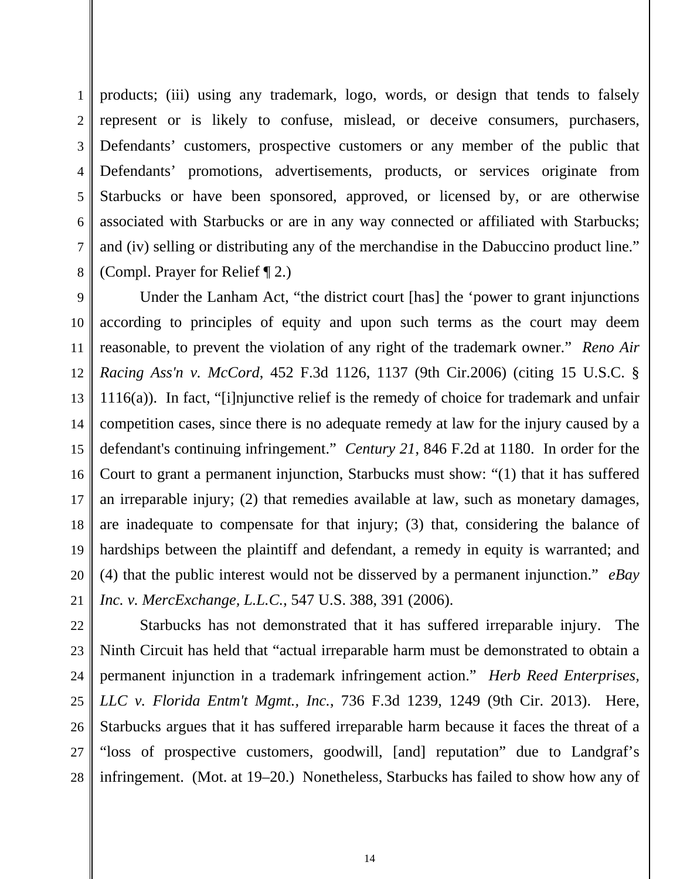1 2 3 4 5 6 7 8 products; (iii) using any trademark, logo, words, or design that tends to falsely represent or is likely to confuse, mislead, or deceive consumers, purchasers, Defendants' customers, prospective customers or any member of the public that Defendants' promotions, advertisements, products, or services originate from Starbucks or have been sponsored, approved, or licensed by, or are otherwise associated with Starbucks or are in any way connected or affiliated with Starbucks; and (iv) selling or distributing any of the merchandise in the Dabuccino product line." (Compl. Prayer for Relief ¶ 2.)

9 10 11 12 13 14 15 16 17 18 19 20 21 Under the Lanham Act, "the district court [has] the 'power to grant injunctions according to principles of equity and upon such terms as the court may deem reasonable, to prevent the violation of any right of the trademark owner." *Reno Air Racing Ass'n v. McCord*, 452 F.3d 1126, 1137 (9th Cir.2006) (citing 15 U.S.C. § 1116(a)). In fact, "[i]njunctive relief is the remedy of choice for trademark and unfair competition cases, since there is no adequate remedy at law for the injury caused by a defendant's continuing infringement." *Century 21*, 846 F.2d at 1180. In order for the Court to grant a permanent injunction, Starbucks must show: "(1) that it has suffered an irreparable injury; (2) that remedies available at law, such as monetary damages, are inadequate to compensate for that injury; (3) that, considering the balance of hardships between the plaintiff and defendant, a remedy in equity is warranted; and (4) that the public interest would not be disserved by a permanent injunction." *eBay Inc. v. MercExchange, L.L.C.*, 547 U.S. 388, 391 (2006).

28 Starbucks has not demonstrated that it has suffered irreparable injury. The Ninth Circuit has held that "actual irreparable harm must be demonstrated to obtain a permanent injunction in a trademark infringement action." *Herb Reed Enterprises, LLC v. Florida Entm't Mgmt., Inc.*, 736 F.3d 1239, 1249 (9th Cir. 2013). Here, Starbucks argues that it has suffered irreparable harm because it faces the threat of a "loss of prospective customers, goodwill, [and] reputation" due to Landgraf's infringement. (Mot. at 19–20.) Nonetheless, Starbucks has failed to show how any of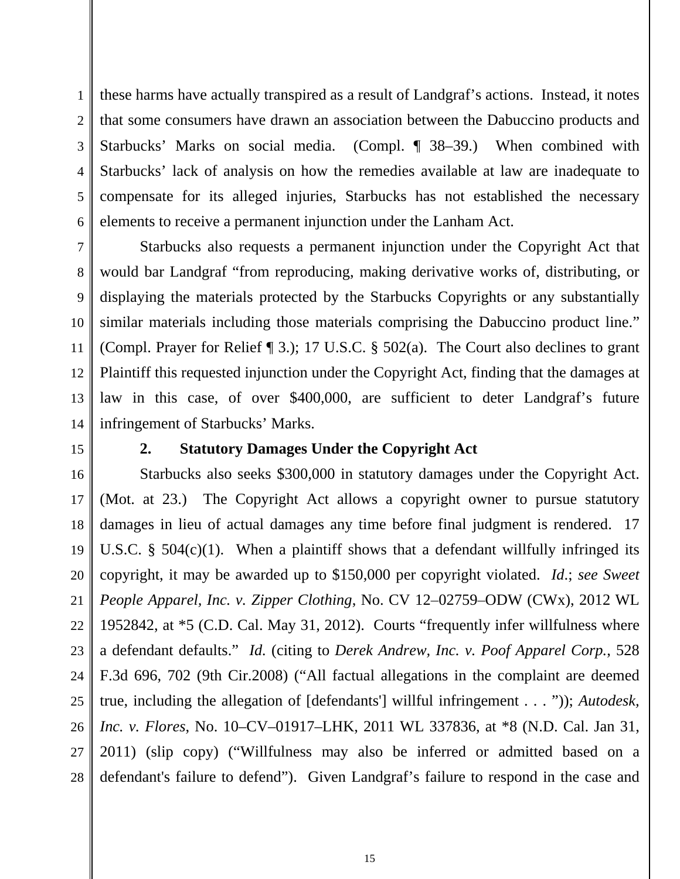1 2 3 4 5 6 these harms have actually transpired as a result of Landgraf's actions. Instead, it notes that some consumers have drawn an association between the Dabuccino products and Starbucks' Marks on social media. (Compl. ¶ 38–39.) When combined with Starbucks' lack of analysis on how the remedies available at law are inadequate to compensate for its alleged injuries, Starbucks has not established the necessary elements to receive a permanent injunction under the Lanham Act.

7 8 9 10 11 12 13 14 Starbucks also requests a permanent injunction under the Copyright Act that would bar Landgraf "from reproducing, making derivative works of, distributing, or displaying the materials protected by the Starbucks Copyrights or any substantially similar materials including those materials comprising the Dabuccino product line." (Compl. Prayer for Relief ¶ 3.); 17 U.S.C. § 502(a). The Court also declines to grant Plaintiff this requested injunction under the Copyright Act, finding that the damages at law in this case, of over \$400,000, are sufficient to deter Landgraf's future infringement of Starbucks' Marks.

15

#### **2. Statutory Damages Under the Copyright Act**

16 17 18 19 20 21 22 23 24 25 26 27 28 Starbucks also seeks \$300,000 in statutory damages under the Copyright Act. (Mot. at 23.) The Copyright Act allows a copyright owner to pursue statutory damages in lieu of actual damages any time before final judgment is rendered. 17 U.S.C. §  $504(c)(1)$ . When a plaintiff shows that a defendant willfully infringed its copyright, it may be awarded up to \$150,000 per copyright violated. *Id*.; *see Sweet People Apparel, Inc. v. Zipper Clothing*, No. CV 12–02759–ODW (CWx), 2012 WL 1952842, at \*5 (C.D. Cal. May 31, 2012). Courts "frequently infer willfulness where a defendant defaults." *Id.* (citing to *Derek Andrew, Inc. v. Poof Apparel Corp.*, 528 F.3d 696, 702 (9th Cir.2008) ("All factual allegations in the complaint are deemed true, including the allegation of [defendants'] willful infringement . . . ")); *Autodesk, Inc. v. Flores*, No. 10–CV–01917–LHK, 2011 WL 337836, at \*8 (N.D. Cal. Jan 31, 2011) (slip copy) ("Willfulness may also be inferred or admitted based on a defendant's failure to defend"). Given Landgraf's failure to respond in the case and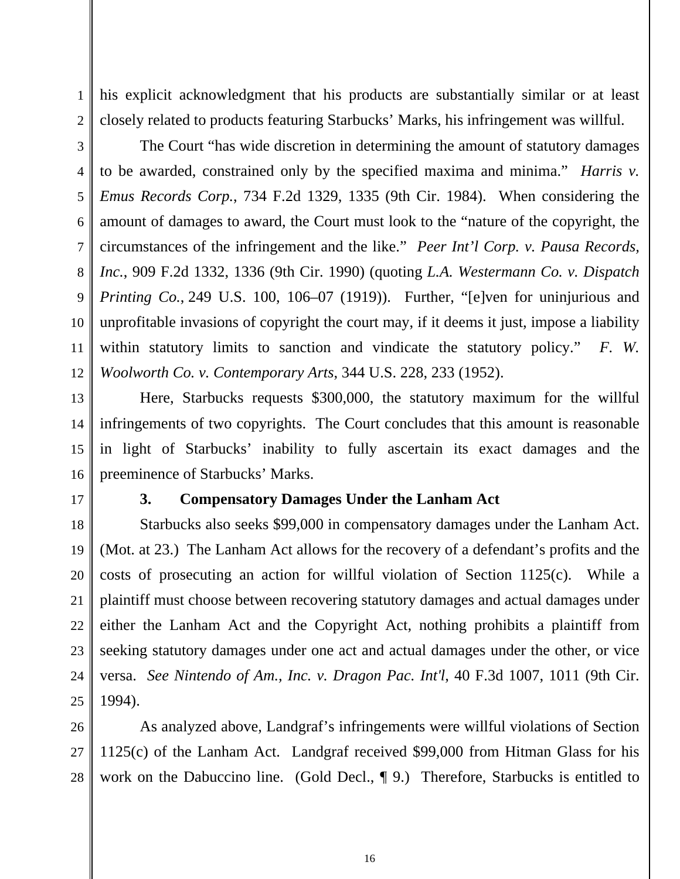his explicit acknowledgment that his products are substantially similar or at least closely related to products featuring Starbucks' Marks, his infringement was willful.

2 3

4

1

5 6 7 8 9 10 12 The Court "has wide discretion in determining the amount of statutory damages to be awarded, constrained only by the specified maxima and minima." *Harris v. Emus Records Corp.*, 734 F.2d 1329, 1335 (9th Cir. 1984). When considering the amount of damages to award, the Court must look to the "nature of the copyright, the circumstances of the infringement and the like." *Peer Int'l Corp. v. Pausa Records, Inc.*, 909 F.2d 1332, 1336 (9th Cir. 1990) (quoting *L.A. Westermann Co. v. Dispatch Printing Co.*, 249 U.S. 100, 106–07 (1919)). Further, "[e]ven for uninjurious and unprofitable invasions of copyright the court may, if it deems it just, impose a liability within statutory limits to sanction and vindicate the statutory policy." F. W. *Woolworth Co. v. Contemporary Arts*, 344 U.S. 228, 233 (1952).

13 14 15 16 Here, Starbucks requests \$300,000, the statutory maximum for the willful infringements of two copyrights. The Court concludes that this amount is reasonable in light of Starbucks' inability to fully ascertain its exact damages and the preeminence of Starbucks' Marks.

17

11

## **3. Compensatory Damages Under the Lanham Act**

18 19 20 21 22 23 24 25 Starbucks also seeks \$99,000 in compensatory damages under the Lanham Act. (Mot. at 23.) The Lanham Act allows for the recovery of a defendant's profits and the costs of prosecuting an action for willful violation of Section 1125(c). While a plaintiff must choose between recovering statutory damages and actual damages under either the Lanham Act and the Copyright Act, nothing prohibits a plaintiff from seeking statutory damages under one act and actual damages under the other, or vice versa. *See Nintendo of Am., Inc. v. Dragon Pac. Int'l*, 40 F.3d 1007, 1011 (9th Cir. 1994).

26 27 28 As analyzed above, Landgraf's infringements were willful violations of Section 1125(c) of the Lanham Act. Landgraf received \$99,000 from Hitman Glass for his work on the Dabuccino line. (Gold Decl., ¶ 9.) Therefore, Starbucks is entitled to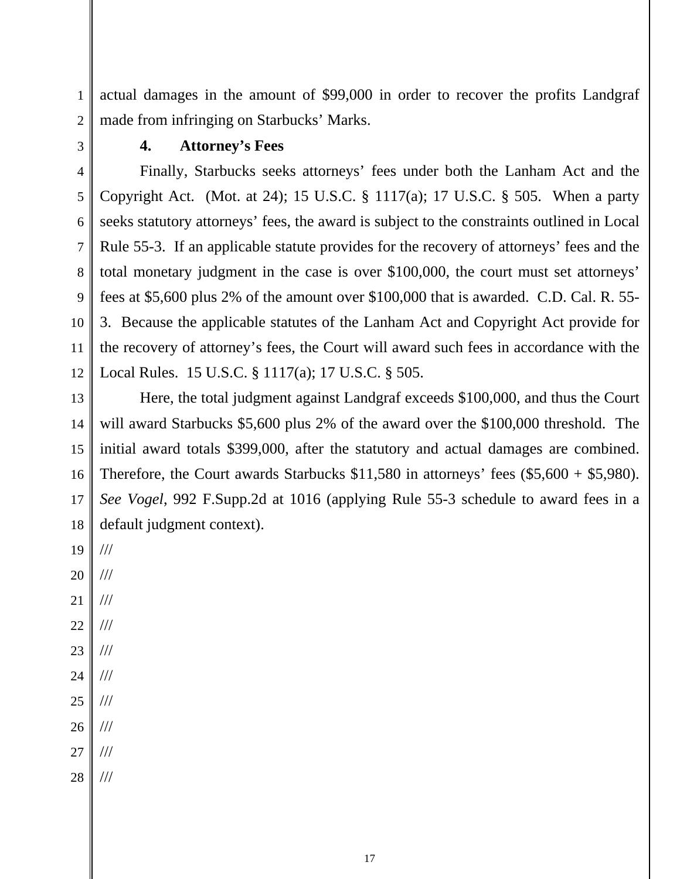1 actual damages in the amount of \$99,000 in order to recover the profits Landgraf made from infringing on Starbucks' Marks.

3

2

## **4. Attorney's Fees**

4 5 6 7 8 9 10 11 12 Finally, Starbucks seeks attorneys' fees under both the Lanham Act and the Copyright Act. (Mot. at 24); 15 U.S.C. § 1117(a); 17 U.S.C. § 505. When a party seeks statutory attorneys' fees, the award is subject to the constraints outlined in Local Rule 55-3. If an applicable statute provides for the recovery of attorneys' fees and the total monetary judgment in the case is over \$100,000, the court must set attorneys' fees at \$5,600 plus 2% of the amount over \$100,000 that is awarded. C.D. Cal. R. 55- 3. Because the applicable statutes of the Lanham Act and Copyright Act provide for the recovery of attorney's fees, the Court will award such fees in accordance with the Local Rules. 15 U.S.C. § 1117(a); 17 U.S.C. § 505.

13 14 15 16 17 18 Here, the total judgment against Landgraf exceeds \$100,000, and thus the Court will award Starbucks \$5,600 plus 2% of the award over the \$100,000 threshold. The initial award totals \$399,000, after the statutory and actual damages are combined. Therefore, the Court awards Starbucks \$11,580 in attorneys' fees (\$5,600 + \$5,980). *See Vogel*, 992 F.Supp.2d at 1016 (applying Rule 55-3 schedule to award fees in a default judgment context).

19 20 21 22 23 24 25 /// /// /// /// /// /// ///

- 26 ///
- 27 ///
- 28 ///